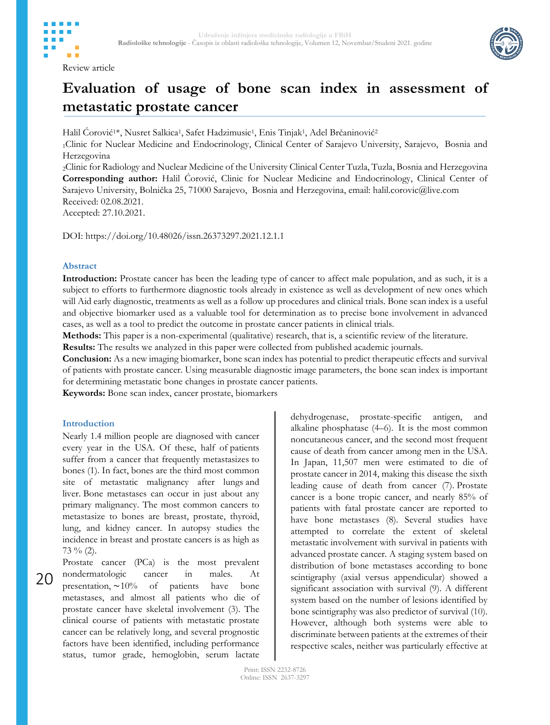



# **Evaluation of usage of bone scan index in assessment of metastatic prostate cancer**

Halil Corović<sup>1\*</sup>, Nusret Salkica<sup>1</sup>, Safet Hadzimusic<sup>1</sup>, Enis Tinjak<sup>1</sup>, Adel Brčaninović<sup>2</sup>

<sup>1</sup>Clinic for Nuclear Medicine and Endocrinology, Clinical Center of Sarajevo University, Sarajevo, Bosnia and Herzegovina

<sup>2</sup>Clinic for Radiology and Nuclear Medicine of the University Clinical Center Tuzla, Tuzla, Bosnia and Herzegovina **Corresponding author:** Halil Ćorović, Clinic for Nuclear Medicine and Endocrinology, Clinical Center of Sarajevo University, Bolnička 25, 71000 Sarajevo, Bosnia and Herzegovina, email: halil.corovic@live.com Received: 02.08.2021.

Accepted: 27.10.2021.

DOI: https://doi.org/10.48026/issn.26373297.2021.12.1.1

## **Abstract**

**Introduction:** Prostate cancer has been the leading type of cancer to affect male population, and as such, it is a subject to efforts to furthermore diagnostic tools already in existence as well as development of new ones which will Aid early diagnostic, treatments as well as a follow up procedures and clinical trials. Bone scan index is a useful and objective biomarker used as a valuable tool for determination as to precise bone involvement in advanced cases, as well as a tool to predict the outcome in prostate cancer patients in clinical trials.

**Methods:** This paper is a non-experimental (qualitative) research, that is, a scientific review of the literature.

**Results:** The results we analyzed in this paper were collected from published academic journals.

**Conclusion:** As a new imaging biomarker, bone scan index has potential to predict therapeutic effects and survival of patients with prostate cancer. Using measurable diagnostic image parameters, the bone scan index is important for determining metastatic bone changes in prostate cancer patients.

**Keywords:** Bone scan index, cancer prostate, biomarkers

## **Introduction**

Nearly 1.4 million people are diagnosed with cancer every year in the USA. Of these, half of patients suffer from a cancer that frequently metastasizes to bones (1). In fact, bones are the third most common site of metastatic malignancy after lungs and liver. Bone metastases can occur in just about any primary malignancy. The most common cancers to metastasize to bones are breast, prostate, thyroid, lung, and kidney cancer. In autopsy studies the incidence in breast and prostate cancers is as high as  $73\%$  (2).

20 Prostate cancer (PCa) is the most prevalent nondermatologic cancer in males. At presentation, ∼10% of patients have bone metastases, and almost all patients who die of prostate cancer have skeletal involvement (3). The clinical course of patients with metastatic prostate cancer can be relatively long, and several prognostic factors have been identified, including performance status, tumor grade, hemoglobin, serum lactate

dehydrogenase, prostate-specific antigen, and alkaline phosphatase (4–6). It is the most common noncutaneous cancer, and the second most frequent cause of death from cancer among men in the USA. In Japan, 11,507 men were estimated to die of prostate cancer in 2014, making this disease the sixth leading cause of death from cancer (7). Prostate cancer is a bone tropic cancer, and nearly 85% of patients with fatal prostate cancer are reported to have bone metastases (8). Several studies have attempted to correlate the extent of skeletal metastatic involvement with survival in patients with advanced prostate cancer. A staging system based on distribution of bone metastases according to bone scintigraphy (axial versus appendicular) showed a significant association with survival (9). A different system based on the number of lesions identified by bone scintigraphy was also predictor of survival (10). However, although both systems were able to discriminate between patients at the extremes of their respective scales, neither was particularly effective at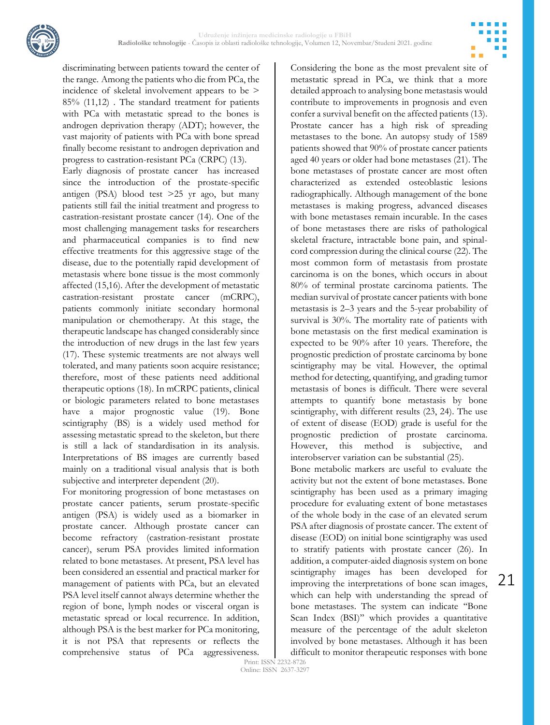

discriminating between patients toward the center of the range. Among the patients who die from PCa, the incidence of skeletal involvement appears to be > 85% (11,12) . The standard treatment for patients with PCa with metastatic spread to the bones is androgen deprivation therapy (ADT); however, the vast majority of patients with PCa with bone spread finally become resistant to androgen deprivation and progress to castration-resistant PCa (CRPC) (13). Early diagnosis of prostate cancer has increased since the introduction of the prostate-specific antigen (PSA) blood test >25 yr ago, but many patients still fail the initial treatment and progress to castration-resistant prostate cancer (14). One of the most challenging management tasks for researchers and pharmaceutical companies is to find new effective treatments for this aggressive stage of the disease, due to the potentially rapid development of metastasis where bone tissue is the most commonly affected (15,16). After the development of metastatic castration-resistant prostate cancer (mCRPC), patients commonly initiate secondary hormonal manipulation or chemotherapy. At this stage, the therapeutic landscape has changed considerably since the introduction of new drugs in the last few years (17). These systemic treatments are not always well tolerated, and many patients soon acquire resistance; therefore, most of these patients need additional therapeutic options (18). In mCRPC patients, clinical or biologic parameters related to bone metastases have a major prognostic value (19). Bone scintigraphy (BS) is a widely used method for assessing metastatic spread to the skeleton, but there is still a lack of standardisation in its analysis. Interpretations of BS images are currently based mainly on a traditional visual analysis that is both subjective and interpreter dependent (20).

For monitoring progression of bone metastases on prostate cancer patients, serum prostate-specific antigen (PSA) is widely used as a biomarker in prostate cancer. Although prostate cancer can become refractory (castration-resistant prostate cancer), serum PSA provides limited information related to bone metastases. At present, PSA level has been considered an essential and practical marker for management of patients with PCa, but an elevated PSA level itself cannot always determine whether the region of bone, lymph nodes or visceral organ is metastatic spread or local recurrence. In addition, although PSA is the best marker for PCa monitoring, it is not PSA that represents or reflects the comprehensive status of PCa aggressiveness.

Considering the bone as the most prevalent site of metastatic spread in PCa, we think that a more detailed approach to analysing bone metastasis would contribute to improvements in prognosis and even confer a survival benefit on the affected patients (13). Prostate cancer has a high risk of spreading metastases to the bone. An autopsy study of 1589 patients showed that 90% of prostate cancer patients aged 40 years or older had bone metastases (21). The bone metastases of prostate cancer are most often characterized as extended osteoblastic lesions radiographically. Although management of the bone metastases is making progress, advanced diseases with bone metastases remain incurable. In the cases of bone metastases there are risks of pathological skeletal fracture, intractable bone pain, and spinalcord compression during the clinical course (22). The most common form of metastasis from prostate carcinoma is on the bones, which occurs in about 80% of terminal prostate carcinoma patients. The median survival of prostate cancer patients with bone metastasis is 2–3 years and the 5-year probability of survival is 30%. The mortality rate of patients with bone metastasis on the first medical examination is expected to be 90% after 10 years. Therefore, the prognostic prediction of prostate carcinoma by bone scintigraphy may be vital. However, the optimal method for detecting, quantifying, and grading tumor metastasis of bones is difficult. There were several attempts to quantify bone metastasis by bone scintigraphy, with different results (23, 24). The use of extent of disease (EOD) grade is useful for the prognostic prediction of prostate carcinoma. However, this method is subjective, and interobserver variation can be substantial (25). Bone metabolic markers are useful to evaluate the

activity but not the extent of bone metastases. Bone scintigraphy has been used as a primary imaging procedure for evaluating extent of bone metastases of the whole body in the case of an elevated serum PSA after diagnosis of prostate cancer. The extent of disease (EOD) on initial bone scintigraphy was used to stratify patients with prostate cancer (26). In addition, a computer-aided diagnosis system on bone scintigraphy images has been developed for improving the interpretations of bone scan images, which can help with understanding the spread of bone metastases. The system can indicate ''Bone Scan Index (BSI)'' which provides a quantitative measure of the percentage of the adult skeleton involved by bone metastases. Although it has been difficult to monitor therapeutic responses with bone

21

Print: ISSN 2232-8726 Online: ISSN 2637-3297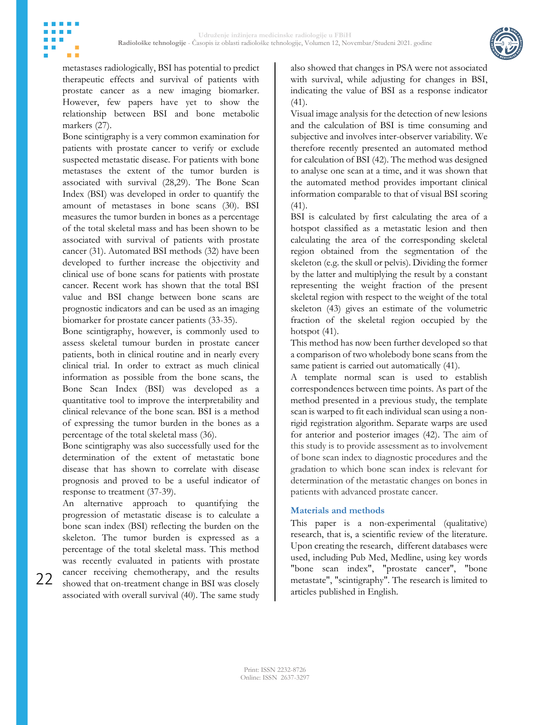

metastases radiologically, BSI has potential to predict therapeutic effects and survival of patients with prostate cancer as a new imaging biomarker. However, few papers have yet to show the relationship between BSI and bone metabolic markers (27).

Bone scintigraphy is a very common examination for patients with prostate cancer to verify or exclude suspected metastatic disease. For patients with bone metastases the extent of the tumor burden is associated with survival (28,29). The Bone Scan Index (BSI) was developed in order to quantify the amount of metastases in bone scans (30). BSI measures the tumor burden in bones as a percentage of the total skeletal mass and has been shown to be associated with survival of patients with prostate cancer (31). Automated BSI methods (32) have been developed to further increase the objectivity and clinical use of bone scans for patients with prostate cancer. Recent work has shown that the total BSI value and BSI change between bone scans are prognostic indicators and can be used as an imaging biomarker for prostate cancer patients (33-35).

Bone scintigraphy, however, is commonly used to assess skeletal tumour burden in prostate cancer patients, both in clinical routine and in nearly every clinical trial. In order to extract as much clinical information as possible from the bone scans, the Bone Scan Index (BSI) was developed as a quantitative tool to improve the interpretability and clinical relevance of the bone scan. BSI is a method of expressing the tumor burden in the bones as a percentage of the total skeletal mass (36).

Bone scintigraphy was also successfully used for the determination of the extent of metastatic bone disease that has shown to correlate with disease prognosis and proved to be a useful indicator of response to treatment (37-39).

An alternative approach to quantifying the progression of metastatic disease is to calculate a bone scan index (BSI) reflecting the burden on the skeleton. The tumor burden is expressed as a percentage of the total skeletal mass. This method was recently evaluated in patients with prostate cancer receiving chemotherapy, and the results showed that on-treatment change in BSI was closely associated with overall survival (40). The same study

22

also showed that changes in PSA were not associated with survival, while adjusting for changes in BSI, indicating the value of BSI as a response indicator (41).

Visual image analysis for the detection of new lesions and the calculation of BSI is time consuming and subjective and involves inter-observer variability. We therefore recently presented an automated method for calculation of BSI (42). The method was designed to analyse one scan at a time, and it was shown that the automated method provides important clinical information comparable to that of visual BSI scoring (41).

BSI is calculated by first calculating the area of a hotspot classified as a metastatic lesion and then calculating the area of the corresponding skeletal region obtained from the segmentation of the skeleton (e.g. the skull or pelvis). Dividing the former by the latter and multiplying the result by a constant representing the weight fraction of the present skeletal region with respect to the weight of the total skeleton (43) gives an estimate of the volumetric fraction of the skeletal region occupied by the hotspot  $(41)$ .

This method has now been further developed so that a comparison of two wholebody bone scans from the same patient is carried out automatically (41).

A template normal scan is used to establish correspondences between time points. As part of the method presented in a previous study, the template scan is warped to fit each individual scan using a nonrigid registration algorithm. Separate warps are used for anterior and posterior images (42). The aim of this study is to provide assessment as to involvement of bone scan index to diagnostic procedures and the gradation to which bone scan index is relevant for determination of the metastatic changes on bones in patients with advanced prostate cancer.

## **Materials and methods**

This paper is a non-experimental (qualitative) research, that is, a scientific review of the literature. Upon creating the research, different databases were used, including Pub Med, Medline, using key words "bone scan index", "prostate cancer", "bone metastate", "scintigraphy". The research is limited to articles published in English.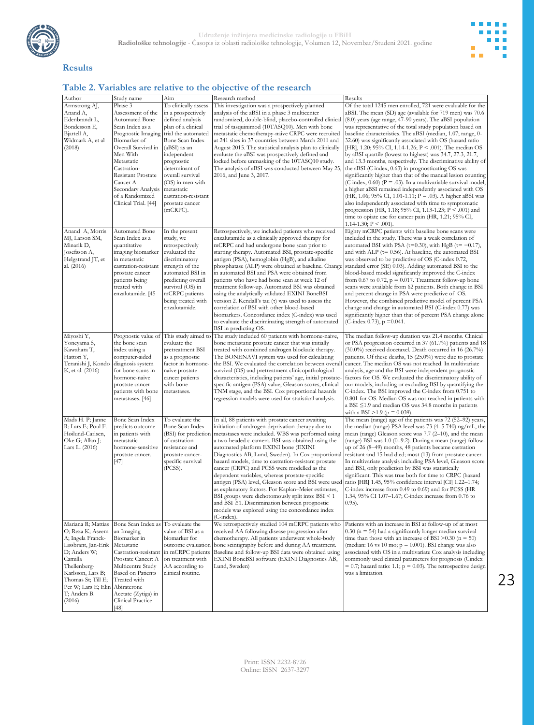



23

# **Results**

#### **Table 2. Variables are relative to the objective of the research**

| Author                                                                                                                                                                                                                                | Study name                                                                                                                                                                                                                                                                 | Aim                                                                                                                                                                                                                                                                                                        | Research method                                                                                                                                                                                                                                                                                                                                                                                                                                                                                                                                                                                                                                                                                                                                                   | Results                                                                                                                                                                                                                                                                                                                                                                                                                                                                                                                                                                                                                                                                                                                                                                                                                                                                                                                                                                                                                                                                                                                  |
|---------------------------------------------------------------------------------------------------------------------------------------------------------------------------------------------------------------------------------------|----------------------------------------------------------------------------------------------------------------------------------------------------------------------------------------------------------------------------------------------------------------------------|------------------------------------------------------------------------------------------------------------------------------------------------------------------------------------------------------------------------------------------------------------------------------------------------------------|-------------------------------------------------------------------------------------------------------------------------------------------------------------------------------------------------------------------------------------------------------------------------------------------------------------------------------------------------------------------------------------------------------------------------------------------------------------------------------------------------------------------------------------------------------------------------------------------------------------------------------------------------------------------------------------------------------------------------------------------------------------------|--------------------------------------------------------------------------------------------------------------------------------------------------------------------------------------------------------------------------------------------------------------------------------------------------------------------------------------------------------------------------------------------------------------------------------------------------------------------------------------------------------------------------------------------------------------------------------------------------------------------------------------------------------------------------------------------------------------------------------------------------------------------------------------------------------------------------------------------------------------------------------------------------------------------------------------------------------------------------------------------------------------------------------------------------------------------------------------------------------------------------|
| Armstrong AJ,<br>Anand A,<br>Edenbrandt L,<br>Bondesson E,<br>Bjartell A,<br>Widmark A, et al<br>(2018)                                                                                                                               | Phase 3<br>Assessment of the<br>Automated Bone<br>Scan Index as a<br>Prognostic Imaging<br>Biomarker of<br>Overall Survival in<br>Men With<br>Metastatic<br>Castration-<br>Resistant Prostate<br>Cancer A<br>Secondary Analysis<br>of a Randomized<br>Clinical Trial. [44] | To clinically assess<br>in a prospectively<br>defined analysis<br>plan of a clinical<br>trial the automated<br>Bone Scan Index<br>(aBSI) as an<br>independent<br>prognostic<br>determinant of<br>overall survival<br>(OS) in men with<br>metastatic<br>castration-resistant<br>prostate cancer<br>(mCRPC). | This investigation was a prospectively planned<br>analysis of the aBSI in a phase 3 multicenter<br>randomized, double-blind, placebo-controlled clinical<br>trial of tasquinimod (10TASQ10). Men with bone<br>metastatic chemotherapy-naive CRPC were recruited<br>at 241 sites in 37 countries between March 2011 and<br>August 2015. The statistical analysis plan to clinically<br>evaluate the aBSI was prospectively defined and<br>locked before unmasking of the 10TASQ10 study.<br>The analysis of aBSI was conducted between May 25,<br>2016, and June 3, 2017.                                                                                                                                                                                          | Of the total 1245 men enrolled, 721 were evaluable for the<br>aBSI. The mean (SD) age (available for 719 men) was 70.6<br>(8.0) years (age range, 47-90 years). The aBSI population<br>was representative of the total study population based on<br>baseline characteristics. The aBSI (median, 1.07; range, 0-<br>32.60) was significantly associated with OS (hazard ratio<br>[HR], 1.20; 95% CI, 1.14-1.26; $P < .001$ ). The median OS<br>by aBSI quartile (lowest to highest) was 34.7, 27.3, 21.7,<br>and 13.3 months, respectively. The discriminative ability of<br>the aBSI $(C \text{ index}, 0.63)$ in prognosticating OS was<br>significantly higher than that of the manual lesion counting<br>(C index, 0.60) ( $P = .03$ ). In a multivariable survival model,<br>a higher aBSI remained independently associated with OS<br>(HR, 1.06; 95% CI, 1.01-1.11; P = .03). A higher aBSI was<br>also independently associated with time to symptomatic<br>progression (HR, 1.18; 95% CI, 1.13-1.23; $P \le 0.001$ ) and<br>time to opiate use for cancer pain (HR, 1.21; 95% CI,<br>1.14-1.30; $P \le 0.001$ ). |
| Anand A, Morris<br>MJ, Larson SM,<br>Minarik D,<br>Josefsson A,<br>Helgstrand JT, et<br>al. (2016)                                                                                                                                    | Automated Bone<br>Scan Index as a<br>quantitative<br>imaging biomarker<br>in metastatic<br>castration-resistant<br>prostate cancer<br>patients being<br>treated with<br>enzalutamide. [45                                                                                  | In the present<br>study, we<br>retrospectively<br>evaluated the<br>discriminatory<br>strength of the<br>automated BSI in<br>predicting overall<br>survival (OS) in<br>mCRPC patients<br>being treated with<br>enzalutamide.                                                                                | Retrospectively, we included patients who received<br>enzalutamide as a clinically approved therapy for<br>mCRPC and had undergone bone scan prior to<br>starting therapy. Automated BSI, prostate-specific<br>antigen (PSA), hemoglobin (HgB), and alkaline<br>phosphatase (ALP) were obtained at baseline. Change<br>in automated BSI and PSA were obtained from<br>patients who have had bone scan at week 12 of<br>treatment follow-up. Automated BSI was obtained<br>using the analytically validated EXINI BoneBSI<br>version 2. Kendall's tau (τ) was used to assess the<br>correlation of BSI with other blood-based<br>biomarkers. Concordance index (C-index) was used<br>to evaluate the discriminating strength of automated<br>BSI in predicting OS. | Eighty mCRPC patients with baseline bone scans were<br>included in the study. There was a weak correlation of<br>automated BSI with PSA ( $\tau$ =0.30), with HgB ( $\tau$ = -0.17),<br>and with ALP ( $\tau$ = 0.56). At baseline, the automated BSI<br>was observed to be predictive of OS (C-index 0.72,<br>standard error (SE) 0.03). Adding automated BSI to the<br>blood-based model significantly improved the C-index<br>from 0.67 to 0.72, $p = 0.017$ . Treatment follow-up bone<br>scans were available from 62 patients. Both change in BSI<br>and percent change in PSA were predictive of OS.<br>However, the combined predictive model of percent PSA<br>change and change in automated BSI (C-index 0.77) was<br>significantly higher than that of percent PSA change alone<br>(C-index 0.73), $p = 0.041$ .                                                                                                                                                                                                                                                                                             |
| Miyoshi Y,<br>Yoneyama S,<br>Kawahara T,<br>Hattori Y,<br>Teranishi J, Kondo<br>K, et al. (2016)                                                                                                                                      | the bone scan<br>index using a<br>computer-aided<br>diagnosis system<br>for bone scans in<br>hormone-naive<br>prostate cancer<br>patients with bone<br>metastases. [46]                                                                                                    | Prognostic value of This study aimed to<br>evaluate the<br>pretreatment BSI<br>as a prognostic<br>factor in hormone-<br>naive prostate<br>cancer patients<br>with bone<br>metastases.                                                                                                                      | The study included 60 patients with hormone-naive,<br>bone metastatic prostate cancer that was initially<br>treated with combined androgen blockade therapy.<br>The BONENAVI system was used for calculating<br>the BSI. We evaluated the correlation between overall<br>survival (OS) and pretreatment clinicopathological<br>characteristics, including patients' age, initial prostate<br>specific antigen (PSA) value, Gleason scores, clinical<br>TNM stage, and the BSI. Cox proportional hazards<br>regression models were used for statistical analysis.                                                                                                                                                                                                  | The median follow-up duration was 21.4 months. Clinical<br>or PSA progression occurred in 37 (61.7%) patients and 18<br>$(30.0\%)$ received docetaxel. Death occurred in 16 $(26.7\%)$<br>patients. Of these deaths, 15 (25.0%) were due to prostate<br>cancer. The median OS was not reached. In multivariate<br>analysis, age and the BSI were independent prognostic<br>factors for OS. We evaluated the discriminatory ability of<br>our models, including or excluding BSI by quantifying the<br>C-index. The BSI improved the C-index from 0.751 to<br>0.801 for OS. Median OS was not reached in patients with<br>a BSI $\leq$ 1.9 and median OS was 34.8 months in patients<br>with a BSI > 1.9 ( $p = 0.039$ ).                                                                                                                                                                                                                                                                                                                                                                                                 |
| Mads H. P; Janne<br>R; Lars E; Poul F.<br>Høilund-Carlsen,<br>Oke G; Allan J;<br>Lars L. (2016)                                                                                                                                       | Bone Scan Index<br>predicts outcome<br>in patients with<br>metastatic<br>hormone-sensitive<br>prostate cancer.<br>$[47]$                                                                                                                                                   | To evaluate the<br>Bone Scan Index<br>(BSI) for prediction<br>of castration<br>resistance and<br>prostate cancer-<br>specific survival<br>(PCSS).                                                                                                                                                          | In all, 88 patients with prostate cancer awaiting<br>initiation of androgen-deprivation therapy due to<br>metastases were included. WBS was performed using<br>a two-headed c-camera. BSI was obtained using the<br>automated platform EXINI bone (EXINI<br>Diagnostics AB, Lund, Sweden). In Cox proportional<br>hazard models, time to castration-resistant prostate<br>cancer (CRPC) and PCSS were modelled as the<br>dependent variables, whereas prostate-specific<br>as explanatory factors. For Kaplan–Meier estimates,<br>BSI groups were dichotomously split into: BSI < 1<br>and BSI ≥1. Discrimination between prognostic<br>models was explored using the concordance index<br>$(C$ -index).                                                          | The mean (range) age of the patients was 72 (52-92) years,<br>the median (range) PSA level was 73 (4–5 740) ng/mL, the<br>mean (range) Gleason score was 7.7 (2–10), and the mean<br>(range) BSI was 1.0 (0-9.2). During a mean (range) follow-<br>up of 26 (8–49) months, 48 patients became castration<br>resistant and 15 had died; most (13) from prostate cancer.<br>In multivariate analysis including PSA level, Gleason score<br>and BSI, only prediction by BSI was statistically<br>significant. This was true both for time to CRPC (hazard<br>antigen (PSA) level, Gleason score and BSI were used ratio [HR] 1.45, 95% confidence interval [CI] 1.22–1.74;<br>C-index increase from 0.49 to 0.69) and for PCSS (HR<br>1.34, 95% CI 1.07-1.67; C-index increase from 0.76 to<br>$(0.95)$ .                                                                                                                                                                                                                                                                                                                   |
| Mariana R; Mattias<br>O; Reza K; Aseem<br>A; Ingela Franck-<br>Lissbrant, Jan-Erik<br>D; Anders W;<br>Camilla<br>Thellenberg-<br>Karlsson, Lars B;<br>Thomas St; Till E;<br>Per W; Lars E; Elin Abiraterone<br>T; Anders B.<br>(2016) | Bone Scan Index as<br>an Imaging<br>Biomarker in<br>Metastatic<br>Castration-resistant<br>Prostate Cancer: A<br>Multicentre Study<br><b>Based on Patients</b><br>Treated with<br>Acetate (Zytiga) in<br>Clinical Practice<br>$[48]$                                        | To evaluate the<br>value of BSI as a<br>biomarker for<br>outcome evaluation<br>in mCRPC patients<br>on treatment with<br>AA according to<br>clinical routine.                                                                                                                                              | We retrospectively studied 104 mCRPC patients who<br>received AA following disease progression after<br>chemotherapy. All patients underwent whole-body<br>bone scintigraphy before and during AA treatment.<br>Baseline and follow-up BSI data were obtained using<br>EXINI BoneBSI software (EXINI Diagnostics AB,<br>Lund, Sweden)                                                                                                                                                                                                                                                                                                                                                                                                                             | Patients with an increase in BSI at follow-up of at most<br>$0.30$ (n = 54) had a significantly longer median survival<br>time than those with an increase of BSI $> 0.30$ (n = 50)<br>(median: 16 vs 10 mo; $p = 0.001$ ). BSI change was also<br>associated with OS in a multivariate Cox analysis including<br>commonly used clinical parameters for prognosis (Cindex<br>$= 0.7$ ; hazard ratio: 1.1; $p = 0.03$ ). The retrospective design<br>was a limitation.                                                                                                                                                                                                                                                                                                                                                                                                                                                                                                                                                                                                                                                    |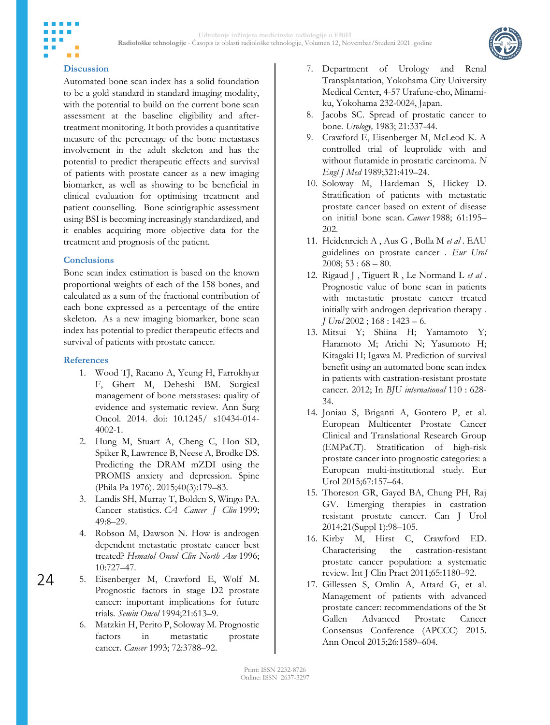

# **Discussion**

Automated bone scan index has a solid foundation to be a gold standard in standard imaging modality, with the potential to build on the current bone scan assessment at the baseline eligibility and aftertreatment monitoring. It both provides a quantitative measure of the percentage of the bone metastases involvement in the adult skeleton and has the potential to predict therapeutic effects and survival of patients with prostate cancer as a new imaging biomarker, as well as showing to be beneficial in clinical evaluation for optimising treatment and patient counselling. Bone scintigraphic assessment using BSI is becoming increasingly standardized, and it enables acquiring more objective data for the treatment and prognosis of the patient.

### **Conclusions**

Bone scan index estimation is based on the known proportional weights of each of the 158 bones, and calculated as a sum of the fractional contribution of each bone expressed as a percentage of the entire skeleton. As a new imaging biomarker, bone scan index has potential to predict therapeutic effects and survival of patients with prostate cancer.

### **References**

24

- 1. Wood TJ, Racano A, Yeung H, Farrokhyar F, Ghert M, Deheshi BM. Surgical management of bone metastases: quality of evidence and systematic review. Ann Surg Oncol. 2014. doi: 10.1245/ s10434-014- 4002-1.
- 2. Hung M, Stuart A, Cheng C, Hon SD, Spiker R, Lawrence B, Neese A, Brodke DS. Predicting the DRAM mZDI using the PROMIS anxiety and depression. Spine (Phila Pa 1976). 2015;40(3):179–83.
- 3. Landis SH, Murray T, Bolden S, Wingo PA. Cancer statistics. *CA Cancer J Clin* 1999; 49:8–29.
- 4. Robson M, Dawson N. How is androgen dependent metastatic prostate cancer best treated? *Hematol Oncol Clin North Am* 1996; 10:727–47.
- 5. Eisenberger M, Crawford E, Wolf M. Prognostic factors in stage D2 prostate cancer: important implications for future trials. *Semin Oncol* 1994;21:613–9.
	- 6. Matzkin H, Perito P, Soloway M. Prognostic factors in metastatic prostate cancer. *Cancer* 1993; 72:3788–92.
- 7. Department of Urology and Renal Transplantation, Yokohama City University Medical Center, 4-57 Urafune-cho, Minamiku, Yokohama 232-0024, Japan.
- 8. Jacobs SC. Spread of prostatic cancer to bone. *Urology,* 1983; 21:337-44.
- 9. Crawford E, Eisenberger M, McLeod K. A controlled trial of leuprolide with and without flutamide in prostatic carcinoma. *N Engl J Med* 1989;321:419–24.
- 10. Soloway M, Hardeman S, Hickey D. Stratification of patients with metastatic prostate cancer based on extent of disease on initial bone scan. *Cancer* 1988; 61:195– 202.
- 11. Heidenreich A , Aus G , Bolla M *et al* . EAU guidelines on prostate cancer . *Eur Urol*   $2008$ ; 53 : 68 – 80.
- 12. Rigaud J , Tiguert R , Le Normand L *et al* . Prognostic value of bone scan in patients with metastatic prostate cancer treated initially with androgen deprivation therapy . *J Urol* 2002 ; 168 : 1423 – 6.
- 13. Mitsui Y; Shiina H; Yamamoto Y; Haramoto M; Arichi N; Yasumoto H; Kitagaki H; Igawa M. Prediction of survival benefit using an automated bone scan index in patients with castration-resistant prostate cancer. 2012; In *BJU international* 110 : 628- 34.
- 14. Joniau S, Briganti A, Gontero P, et al. European Multicenter Prostate Cancer Clinical and Translational Research Group (EMPaCT). Stratification of high-risk prostate cancer into prognostic categories: a European multi-institutional study. Eur Urol 2015;67:157–64.
- 15. Thoreson GR, Gayed BA, Chung PH, Raj GV. Emerging therapies in castration resistant prostate cancer. Can J Urol 2014;21(Suppl 1):98–105.
- 16. Kirby M, Hirst C, Crawford ED. Characterising the castration-resistant prostate cancer population: a systematic review. Int J Clin Pract 2011;65:1180–92.
- 17. Gillessen S, Omlin A, Attard G, et al. Management of patients with advanced prostate cancer: recommendations of the St Gallen Advanced Prostate Cancer Consensus Conference (APCCC) 2015. Ann Oncol 2015;26:1589–604.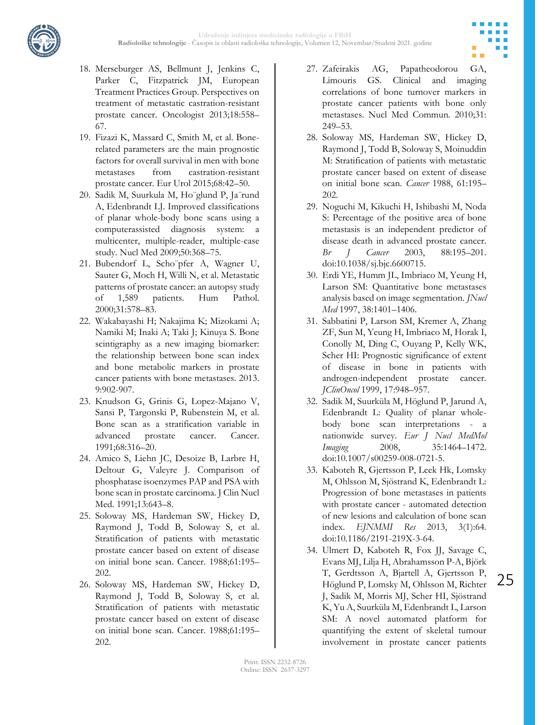



- 18. Merseburger AS, Bellmunt J, Jenkins C, Parker C, Fitzpatrick JM, European Treatment Practices Group. Perspectives on treatment of metastatic castration-resistant prostate cancer. Oncologist 2013;18:558– 67.
- 19. Fizazi K, Massard C, Smith M, et al. Bonerelated parameters are the main prognostic factors for overall survival in men with bone metastases from castration-resistant prostate cancer. Eur Urol 2015;68:42–50.
- 20. Sadik M, Suurkula M, Ho¨glund P, Ja¨rund A, Edenbrandt LJ. Improved classifications of planar whole-body bone scans using a computerassisted diagnosis system: a multicenter, multiple-reader, multiple-case study. Nucl Med 2009;50:368–75.
- 21. Bubendorf L, Scho¨pfer A, Wagner U, Sauter G, Moch H, Willi N, et al. Metastatic patterns of prostate cancer: an autopsy study of 1,589 patients. Hum Pathol. 2000;31:578–83.
- 22. Wakabayashi H; Nakajima K; Mizokami A; Namiki M; Inaki A; Taki J; Kinuya S. Bone scintigraphy as a new imaging biomarker: the relationship between bone scan index and bone metabolic markers in prostate cancer patients with bone metastases. 2013. 9:902-907.
- 23. Knudson G, Grinis G, Lopez-Majano V, Sansi P, Targonski P, Rubenstein M, et al. Bone scan as a stratification variable in advanced prostate cancer. Cancer. 1991;68:316–20.
- 24. Amico S, Liehn JC, Desoize B, Larbre H, Deltour G, Valeyre J. Comparison of phosphatase isoenzymes PAP and PSA with bone scan in prostate carcinoma. J Clin Nucl Med. 1991;13:643–8.
- 25. Soloway MS, Hardeman SW, Hickey D, Raymond J, Todd B, Soloway S, et al. Stratification of patients with metastatic prostate cancer based on extent of disease on initial bone scan. Cancer. 1988;61:195– 202.
- 26. Soloway MS, Hardeman SW, Hickey D, Raymond J, Todd B, Soloway S, et al. Stratification of patients with metastatic prostate cancer based on extent of disease on initial bone scan. Cancer. 1988;61:195– 202.
- 27. Zafeirakis AG, Papatheodorou GA, Limouris GS. Clinical and imaging correlations of bone turnover markers in prostate cancer patients with bone only metastases. Nucl Med Commun. 2010;31: 249–53.
- 28. Soloway MS, Hardeman SW, Hickey D, Raymond J, Todd B, Soloway S, Moinuddin M: Stratification of patients with metastatic prostate cancer based on extent of disease on initial bone scan. *Cancer* 1988, 61:195– 202.
- 29. Noguchi M, Kikuchi H, Ishibashi M, Noda S: Percentage of the positive area of bone metastasis is an independent predictor of disease death in advanced prostate cancer. *Br J Cancer* 2003, 88:195–201. doi:10.1038/sj.bjc.6600715.
- 30. Erdi YE, Humm JL, Imbriaco M, Yeung H, Larson SM: Quantitative bone metastases analysis based on image segmentation. *JNucl Med* 1997, 38:1401–1406.
- 31. Sabbatini P, Larson SM, Kremer A, Zhang ZF, Sun M, Yeung H, Imbriaco M, Horak I, Conolly M, Ding C, Ouyang P, Kelly WK, Scher HI: Prognostic significance of extent of disease in bone in patients with androgen-independent prostate cancer. *JClinOncol* 1999, 17:948–957.
- 32. Sadik M, Suurküla M, Höglund P, Jarund A, Edenbrandt L: Quality of planar wholebody bone scan interpretations - a nationwide survey. *Eur J Nucl MedMol Imaging* 2008, 35:1464–1472. doi:10.1007/s00259-008-0721-5.
- 33. Kaboteh R, Gjertsson P, Leek Hk, Lomsky M, Ohlsson M, Sjöstrand K, Edenbrandt L: Progression of bone metastases in patients with prostate cancer - automated detection of new lesions and calculation of bone scan index. *EJNMMI Res* 2013, 3(1):64. doi:10.1186/2191-219X-3-64.
- 34. Ulmert D, Kaboteh R, Fox JJ, Savage C, Evans MJ, Lilja H, Abrahamsson P-A, Björk T, Gerdtsson A, Bjartell A, Gjertsson P, Höglund P, Lomsky M, Ohlsson M, Richter J, Sadik M, Morris MJ, Scher HI, Sjöstrand K, Yu A, Suurküla M, Edenbrandt L, Larson SM: A novel automated platform for quantifying the extent of skeletal tumour involvement in prostate cancer patients

25